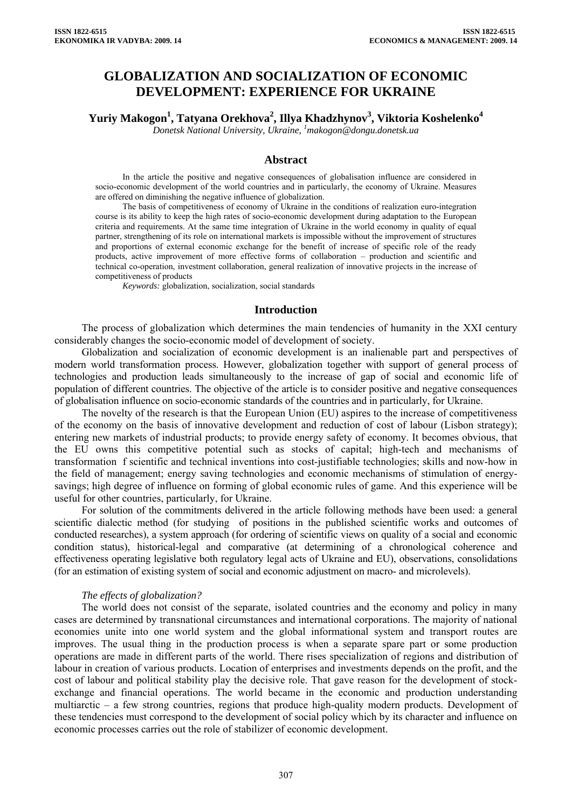# **GLOBALIZATION AND SOCIALIZATION OF ECONOMIC DEVELOPMENT: EXPERIENCE FOR UKRAINE**

**Yuriy Makogon1 , Tatyana Orekhova2 , Illya Khadzhynov<sup>3</sup> , Viktoria Koshelenko4**

*Donetsk National University, Ukraine, 1 makogon@dongu.donetsk.ua* 

# **Abstract**

In the article the positive and negative consequences of globalisation influence are considered in socio-economic development of the world countries and in particularly, the economy of Ukraine. Measures are offered on diminishing the negative influence of globalization.

The basis of competitiveness of economy of Ukraine in the conditions of realization euro-integration course is its ability to keep the high rates of socio-economic development during adaptation to the European criteria and requirements. At the same time integration of Ukraine in the world economy in quality of equal partner, strengthening of its role on international markets is impossible without the improvement of structures and proportions of external economic exchange for the benefit of increase of specific role of the ready products, active improvement of more effective forms of collaboration – production and scientific and technical co-operation, investment collaboration, general realization of innovative projects in the increase of competitiveness of products

*Keywords:* globalization, socialization, social standards

### **Introduction**

The process of globalization which determines the main tendencies of humanity in the XXI century considerably changes the socio-economic model of development of society.

Globalization and socialization of economic development is an inalienable part and perspectives of modern world transformation process. However, globalization together with support of general process of technologies and production leads simultaneously to the increase of gap of social and economic life of population of different countries. The objective of the article is to consider positive and negative consequences of globalisation influence on socio-economic standards of the countries and in particularly, for Ukraine.

The novelty of the research is that the European Union (EU) aspires to the increase of competitiveness of the economy on the basis of innovative development and reduction of cost of labour (Lisbon strategy); entering new markets of industrial products; to provide energy safety of economy. It becomes obvious, that the EU owns this competitive potential such as stocks of capital; high-tech and mechanisms of transformation f scientific and technical inventions into cost-justifiable technologies; skills and now-how in the field of management; energy saving technologies and economic mechanisms of stimulation of energysavings; high degree of influence on forming of global economic rules of game. And this experience will be useful for other countries, particularly, for Ukraine.

For solution of the commitments delivered in the article following methods have been used: a general scientific dialectic method (for studying of positions in the published scientific works and outcomes of conducted researches), a system approach (for ordering of scientific views on quality of a social and economic condition status), historical-legal and comparative (at determining of a chronological coherence and effectiveness operating legislative both regulatory legal acts of Ukraine and EU), observations, consolidations (for an estimation of existing system of social and economic adjustment on macro- and microlevels).

#### *The effects of globalization?*

The world does not consist of the separate, isolated countries and the economy and policy in many cases are determined by transnational circumstances and international corporations. The majority of national economies unite into one world system and the global informational system and transport routes are improves. The usual thing in the production process is when a separate spare part or some production operations are made in different parts of the world. There rises specialization of regions and distribution of labour in creation of various products. Location of enterprises and investments depends on the profit, and the cost of labour and political stability play the decisive role. That gave reason for the development of stockexchange and financial operations. The world became in the economic and production understanding multiarctic – a few strong countries, regions that produce high-quality modern products. Development of these tendencies must correspond to the development of social policy which by its character and influence on economic processes carries out the role of stabilizer of economic development.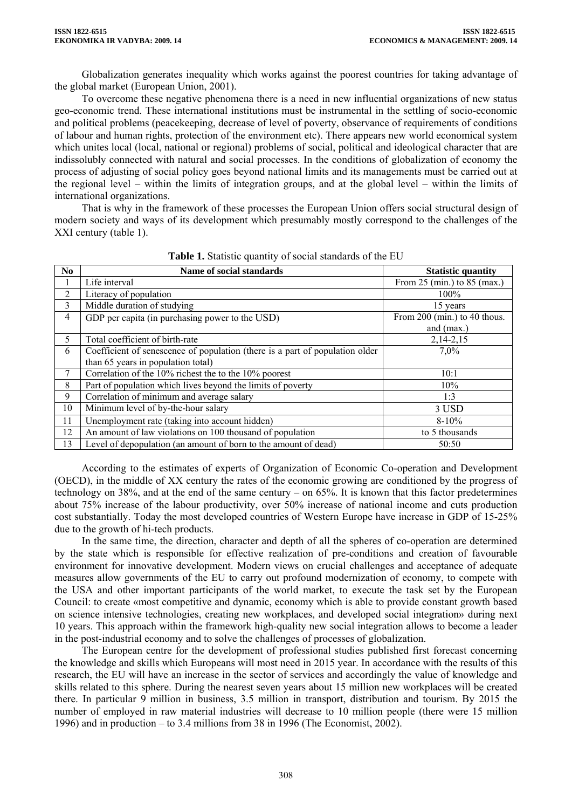Globalization generates inequality which works against the poorest countries for taking advantage of the global market (European Union, 2001).

To overcome these negative phenomena there is a need in new influential organizations of new status geo-economic trend. These international institutions must be instrumental in the settling of socio-economic and political problems (peacekeeping, decrease of level of poverty, observance of requirements of conditions of labour and human rights, protection of the environment etc). There appears new world economical system which unites local (local, national or regional) problems of social, political and ideological character that are indissolubly connected with natural and social processes. In the conditions of globalization of economy the process of adjusting of social policy goes beyond national limits and its managements must be carried out at the regional level – within the limits of integration groups, and at the global level – within the limits of international organizations.

That is why in the framework of these processes the European Union offers social structural design of modern society and ways of its development which presumably mostly correspond to the challenges of the XXI century (table 1).

| N <sub>0</sub> | Name of social standards                                                     | <b>Statistic quantity</b>                       |
|----------------|------------------------------------------------------------------------------|-------------------------------------------------|
|                | Life interval                                                                | From $25 \text{ (min.)}$ to $85 \text{ (max.)}$ |
| 2              | Literacy of population                                                       | $100\%$                                         |
| 3              | Middle duration of studying                                                  | 15 years                                        |
| 4              | GDP per capita (in purchasing power to the USD)                              | From 200 (min.) to 40 thous.                    |
|                |                                                                              | and (max.)                                      |
| 5              | Total coefficient of birth-rate                                              | $2,14-2,15$                                     |
| 6              | Coefficient of senescence of population (there is a part of population older | 7,0%                                            |
|                | than 65 years in population total)                                           |                                                 |
|                | Correlation of the 10% richest the to the 10% poorest                        | 10:1                                            |
| 8              | Part of population which lives beyond the limits of poverty                  | 10%                                             |
| 9              | Correlation of minimum and average salary                                    | 1:3                                             |
| 10             | Minimum level of by-the-hour salary                                          | 3 USD                                           |
| 11             | Unemployment rate (taking into account hidden)                               | $8 - 10\%$                                      |
| 12             | An amount of law violations on 100 thousand of population                    | to 5 thousands                                  |
| 13             | Level of depopulation (an amount of born to the amount of dead)              | 50:50                                           |

**Table 1.** Statistic quantity of social standards of the EU

According to the estimates of experts of Organization of Economic Co-operation and Development (OECD), in the middle of ХХ century the rates of the economic growing are conditioned by the progress of technology on 38%, and at the end of the same century – on 65%. It is known that this factor predetermines about 75% increase of the labour productivity, over 50% increase of national income and cuts production cost substantially. Today the most developed countries of Western Europe have increase in GDP of 15-25% due to the growth of hi-tech products.

In the same time, the direction, character and depth of all the spheres of co-operation are determined by the state which is responsible for effective realization of pre-conditions and creation of favourable environment for innovative development. Modern views on crucial challenges and acceptance of adequate measures allow governments of the EU to carry out profound modernization of economy, to compete with the USA and other important participants of the world market, to execute the task set by the European Council: to create «most competitive and dynamic, economy which is able to provide constant growth based on science intensive technologies, creating new workplaces, and developed social integration» during next 10 years. This approach within the framework high-quality new social integration allows to become a leader in the post-industrial economy and to solve the challenges of processes of globalization.

The European centre for the development of professional studies published first forecast concerning the knowledge and skills which Europeans will most need in 2015 year. In accordance with the results of this research, the EU will have an increase in the sector of services and accordingly the value of knowledge and skills related to this sphere. During the nearest seven years about 15 million new workplaces will be created there. In particular 9 million in business, 3.5 million in transport, distribution and tourism. By 2015 the number of employed in raw material industries will decrease to 10 million people (there were 15 million 1996) and in production – to 3.4 millions from 38 in 1996 (The Economist, 2002).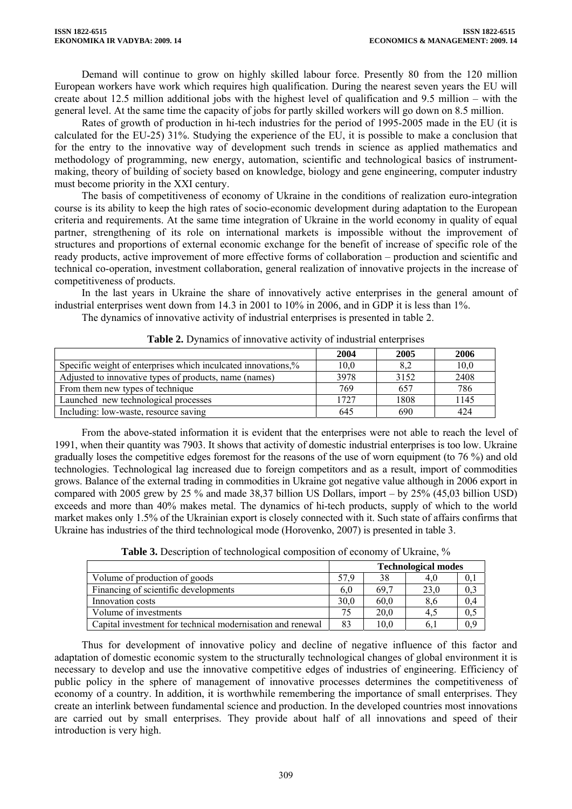Demand will continue to grow on highly skilled labour force. Presently 80 from the 120 million European workers have work which requires high qualification. During the nearest seven years the EU will create about 12.5 million additional jobs with the highest level of qualification and 9.5 million – with the general level. At the same time the capacity of jobs for partly skilled workers will go down on 8.5 million.

Rates of growth of production in hi-tech industries for the period of 1995-2005 made in the EU (it is calculated for the EU-25) 31%. Studying the experience of the EU, it is possible to make a conclusion that for the entry to the innovative way of development such trends in science as applied mathematics and methodology of programming, new energy, automation, scientific and technological basics of instrumentmaking, theory of building of society based on knowledge, biology and gene engineering, computer industry must become priority in the ХХІ century.

The basis of competitiveness of economy of Ukraine in the conditions of realization euro-integration course is its ability to keep the high rates of socio-economic development during adaptation to the European criteria and requirements. At the same time integration of Ukraine in the world economy in quality of equal partner, strengthening of its role on international markets is impossible without the improvement of structures and proportions of external economic exchange for the benefit of increase of specific role of the ready products, active improvement of more effective forms of collaboration – production and scientific and technical co-operation, investment collaboration, general realization of innovative projects in the increase of competitiveness of products.

In the last years in Ukraine the share of innovatively active enterprises in the general amount of industrial enterprises went down from 14.3 in 2001 to 10% in 2006, and in GDP it is less than 1%.

The dynamics of innovative activity of industrial enterprises is presented in table 2.

|                                                               | 2004 | 2005 | 2006 |
|---------------------------------------------------------------|------|------|------|
| Specific weight of enterprises which inculcated innovations,% | 10,0 | 8,2  | 10,0 |
| Adjusted to innovative types of products, name (names)        | 3978 | 3152 | 2408 |
| From them new types of technique                              | 769  | 657  | 786  |
| Launched new technological processes                          | 1727 | 1808 | 1145 |
| Including: low-waste, resource saving                         | 645  | 690  | 424  |

From the above-stated information it is evident that the enterprises were not able to reach the level of 1991, when their quantity was 7903. It shows that activity of domestic industrial enterprises is too low. Ukraine gradually loses the competitive edges foremost for the reasons of the use of worn equipment (to 76 %) and old technologies. Technological lag increased due to foreign competitors and as a result, import of commodities grows. Balance of the external trading in commodities in Ukraine got negative value although in 2006 export in compared with 2005 grew by 25 % and made 38,37 billion US Dollars, import – by 25% (45,03 billion USD) exceeds and more than 40% makes metal. The dynamics of hi-tech products, supply of which to the world market makes only 1.5% of the Ukrainian export is closely connected with it. Such state of affairs confirms that Ukraine has industries of the third technological mode (Horovenko, 2007) is presented in table 3.

|                                                            | <b>Technological modes</b> |      |      |     |
|------------------------------------------------------------|----------------------------|------|------|-----|
| Volume of production of goods                              | 57.9                       | 38   | 4.0  |     |
| Financing of scientific developments                       | 6.0                        | 69.7 | 23.0 | 0,3 |
| Innovation costs                                           | 30.0                       | 60.0 | 8,6  | 0,4 |
| Volume of investments                                      |                            | 20.0 | 4.5  | 0,5 |
| Capital investment for technical modernisation and renewal | 83                         | 10.0 | 6.1  | 0,9 |

**Table 3.** Description of technological composition of economy of Ukraine, %

Thus for development of innovative policy and decline of negative influence of this factor and adaptation of domestic economic system to the structurally technological changes of global environment it is necessary to develop and use the innovative competitive edges of industries of engineering. Efficiency of public policy in the sphere of management of innovative processes determines the competitiveness of economy of a country. In addition, it is worthwhile remembering the importance of small enterprises. They create an interlink between fundamental science and production. In the developed countries most innovations are carried out by small enterprises. They provide about half of all innovations and speed of their introduction is very high.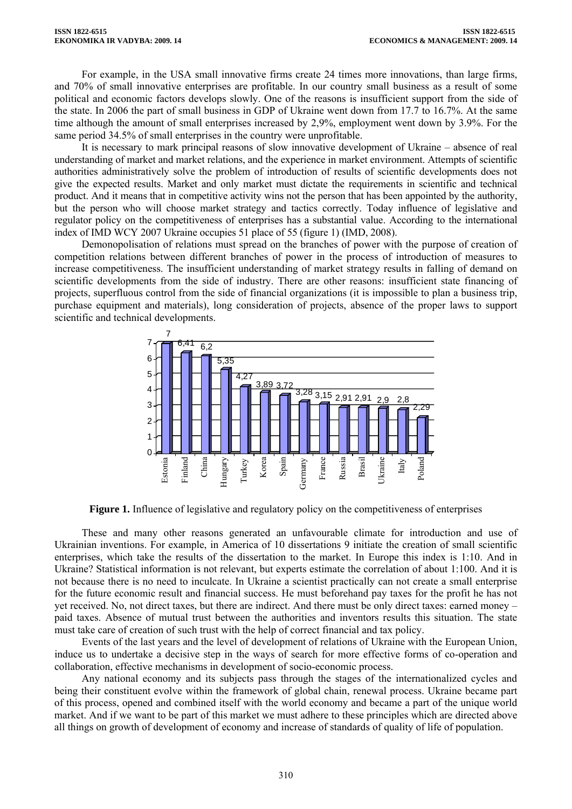For example, in the USA small innovative firms create 24 times more innovations, than large firms, and 70% of small innovative enterprises are profitable. In our country small business as a result of some political and economic factors develops slowly. One of the reasons is insufficient support from the side of the state. In 2006 the part of small business in GDP of Ukraine went down from 17.7 to 16.7%. At the same time although the amount of small enterprises increased by 2,9%, employment went down by 3.9%. For the same period 34.5% of small enterprises in the country were unprofitable.

It is necessary to mark principal reasons of slow innovative development of Ukraine – absence of real understanding of market and market relations, and the experience in market environment. Attempts of scientific authorities administratively solve the problem of introduction of results of scientific developments does not give the expected results. Market and only market must dictate the requirements in scientific and technical product. And it means that in competitive activity wins not the person that has been appointed by the authority, but the person who will choose market strategy and tactics correctly. Today influence of legislative and regulator policy on the competitiveness of enterprises has a substantial value. According to the international index of IMD WCY 2007 Ukraine occupies 51 place of 55 (figure 1) (IMD, 2008).

Demonopolisation of relations must spread on the branches of power with the purpose of creation of competition relations between different branches of power in the process of introduction of measures to increase competitiveness. The insufficient understanding of market strategy results in falling of demand on scientific developments from the side of industry. There are other reasons: insufficient state financing of projects, superfluous control from the side of financial organizations (it is impossible to plan a business trip, purchase equipment and materials), long consideration of projects, absence of the proper laws to support scientific and technical developments.



**Figure 1.** Influence of legislative and regulatory policy on the competitiveness of enterprises

These and many other reasons generated an unfavourable climate for introduction and use of Ukrainian inventions. For example, in America of 10 dissertations 9 initiate the creation of small scientific enterprises, which take the results of the dissertation to the market. In Europe this index is 1:10. And in Ukraine? Statistical information is not relevant, but experts estimate the correlation of about 1:100. And it is not because there is no need to inculcate. In Ukraine a scientist practically can not create a small enterprise for the future economic result and financial success. He must beforehand pay taxes for the profit he has not yet received. No, not direct taxes, but there are indirect. And there must be only direct taxes: earned money – paid taxes. Absence of mutual trust between the authorities and inventors results this situation. The state must take care of creation of such trust with the help of correct financial and tax policy.

Events of the last years and the level of development of relations of Ukraine with the European Union, induce us to undertake a decisive step in the ways of search for more effective forms of co-operation and collaboration, effective mechanisms in development of socio-economic process.

Any national economy and its subjects pass through the stages of the internationalized cycles and being their constituent evolve within the framework of global chain, renewal process. Ukraine became part of this process, opened and combined itself with the world economy and became a part of the unique world market. And if we want to be part of this market we must adhere to these principles which are directed above all things on growth of development of economy and increase of standards of quality of life of population.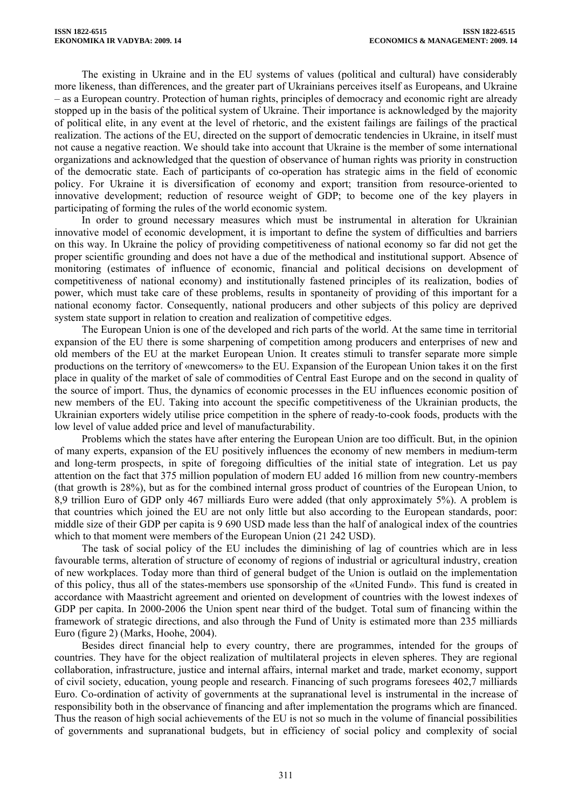The existing in Ukraine and in the EU systems of values (political and cultural) have considerably more likeness, than differences, and the greater part of Ukrainians perceives itself as Europeans, and Ukraine – as a European country. Protection of human rights, principles of democracy and economic right are already stopped up in the basis of the political system of Ukraine. Their importance is acknowledged by the majority of political elite, in any event at the level of rhetoric, and the existent failings are failings of the practical realization. The actions of the EU, directed on the support of democratic tendencies in Ukraine, in itself must not cause a negative reaction. We should take into account that Ukraine is the member of some international organizations and acknowledged that the question of observance of human rights was priority in construction of the democratic state. Each of participants of co-operation has strategic aims in the field of economic policy. For Ukraine it is diversification of economy and export; transition from resource-oriented to innovative development; reduction of resource weight of GDP; to become one of the key players in participating of forming the rules of the world economic system.

In order to ground necessary measures which must be instrumental in alteration for Ukrainian innovative model of economic development, it is important to define the system of difficulties and barriers on this way. In Ukraine the policy of providing competitiveness of national economy so far did not get the proper scientific grounding and does not have a due of the methodical and institutional support. Absence of monitoring (estimates of influence of economic, financial and political decisions on development of competitiveness of national economy) and institutionally fastened principles of its realization, bodies of power, which must take care of these problems, results in spontaneity of providing of this important for a national economy factor. Consequently, national producers and other subjects of this policy are deprived system state support in relation to creation and realization of competitive edges.

The European Union is one of the developed and rich parts of the world. At the same time in territorial expansion of the EU there is some sharpening of competition among producers and enterprises of new and old members of the EU at the market European Union. It creates stimuli to transfer separate more simple productions on the territory of «newcomers» to the EU. Expansion of the European Union takes it on the first place in quality of the market of sale of commodities of Central East Europe and on the second in quality of the source of import. Thus, the dynamics of economic processes in the EU influences economic position of new members of the EU. Taking into account the specific competitiveness of the Ukrainian products, the Ukrainian exporters widely utilise price competition in the sphere of ready-to-cook foods, products with the low level of value added price and level of manufacturability.

Problems which the states have after entering the European Union are too difficult. But, in the opinion of many experts, expansion of the EU positively influences the economy of new members in medium-term and long-term prospects, in spite of foregoing difficulties of the initial state of integration. Let us pay attention on the fact that 375 million population of modern EU added 16 million from new country-members (that growth is 28%), but as for the combined internal gross product of countries of the European Union, to 8,9 trillion Euro of GDP only 467 milliards Euro were added (that only approximately 5%). A problem is that countries which joined the EU are not only little but also according to the European standards, poor: middle size of their GDP per capita is 9 690 USD made less than the half of analogical index of the countries which to that moment were members of the European Union (21 242 USD).

The task of social policy of the EU includes the diminishing of lag of countries which are in less favourable terms, alteration of structure of economy of regions of industrial or agricultural industry, creation of new workplaces. Today more than third of general budget of the Union is outlaid on the implementation of this policy, thus all of the states-members use sponsorship of the «United Fund». This fund is created in accordance with Maastricht agreement and oriented on development of countries with the lowest indexes of GDP per capita. In 2000-2006 the Union spent near third of the budget. Total sum of financing within the framework of strategic directions, and also through the Fund of Unity is estimated more than 235 milliards Euro (figure 2) (Marks, Hoohe, 2004).

Besides direct financial help to every country, there are programmes, intended for the groups of countries. They have for the object realization of multilateral projects in eleven spheres. They are regional collaboration, infrastructure, justice and internal affairs, internal market and trade, market economy, support of civil society, education, young people and research. Financing of such programs foresees 402,7 milliards Euro. Co-ordination of activity of governments at the supranational level is instrumental in the increase of responsibility both in the observance of financing and after implementation the programs which are financed. Thus the reason of high social achievements of the EU is not so much in the volume of financial possibilities of governments and supranational budgets, but in efficiency of social policy and complexity of social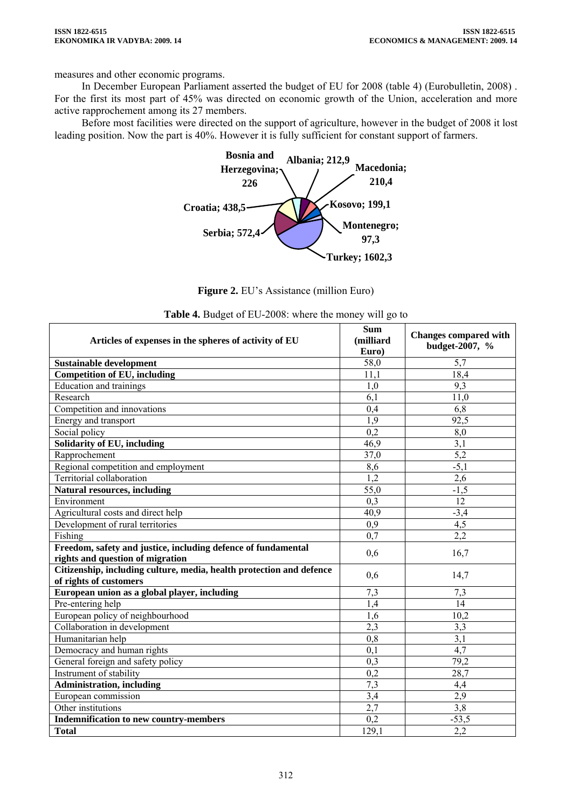measures and other economic programs.

In December European Parliament asserted the budget of EU for 2008 (table 4) (Eurobulletin, 2008) . For the first its most part of 45% was directed on economic growth of the Union, acceleration and more active rapprochement among its 27 members.

Before most facilities were directed on the support of agriculture, however in the budget of 2008 it lost leading position. Now the part is 40%. However it is fully sufficient for constant support of farmers.



Figure 2. EU's Assistance (million Euro)

| Articles of expenses in the spheres of activity of EU                                             | <b>Sum</b><br>(milliard<br>Euro) | <b>Changes compared with</b><br>budget-2007, % |
|---------------------------------------------------------------------------------------------------|----------------------------------|------------------------------------------------|
| <b>Sustainable development</b>                                                                    | 58,0                             | 5,7                                            |
| <b>Competition of EU, including</b>                                                               | 11,1                             | 18,4                                           |
| <b>Education and trainings</b>                                                                    | 1.0                              | 9.3                                            |
| Research                                                                                          | 6,1                              | 11,0                                           |
| Competition and innovations                                                                       | 0,4                              | 6,8                                            |
| Energy and transport                                                                              | 1,9                              | 92,5                                           |
| Social policy                                                                                     | 0,2                              | 8,0                                            |
| Solidarity of EU, including                                                                       | 46,9                             | $\overline{3,1}$                               |
| Rapprochement                                                                                     | 37,0                             | $\overline{5,2}$                               |
| Regional competition and employment                                                               | 8,6                              | $-5,1$                                         |
| Territorial collaboration                                                                         | 1,2                              | 2,6                                            |
| <b>Natural resources, including</b>                                                               | 55,0                             | $-1,5$                                         |
| Environment                                                                                       | 0,3                              | 12                                             |
| Agricultural costs and direct help                                                                | 40,9                             | $-3,4$                                         |
| Development of rural territories                                                                  | 0,9                              | 4,5                                            |
| Fishing                                                                                           | 0.7                              | 2,2                                            |
| Freedom, safety and justice, including defence of fundamental<br>rights and question of migration | 0,6                              | 16,7                                           |
| Citizenship, including culture, media, health protection and defence<br>of rights of customers    | 0,6                              | 14,7                                           |
| European union as a global player, including                                                      | 7,3                              | 7,3                                            |
| Pre-entering help                                                                                 | $\overline{1,4}$                 | 14                                             |
| European policy of neighbourhood                                                                  | $\overline{1,6}$                 | 10,2                                           |
| Collaboration in development                                                                      | 2,3                              | 3,3                                            |
| Humanitarian help                                                                                 | $\overline{0,8}$                 | $\overline{3,1}$                               |
| Democracy and human rights                                                                        | 0,1                              | 4,7                                            |
| General foreign and safety policy                                                                 | $\overline{0,3}$                 | 79,2                                           |
| Instrument of stability                                                                           | 0,2                              | 28,7                                           |
| <b>Administration, including</b>                                                                  | $\overline{7,3}$                 | 4,4                                            |
| European commission                                                                               | 3,4                              | 2,9                                            |
| Other institutions                                                                                | 2,7                              | 3,8                                            |
| <b>Indemnification to new country-members</b>                                                     | 0,2                              | $-53,5$                                        |
| <b>Total</b>                                                                                      | 129,1                            | 2,2                                            |

|  |  | Table 4. Budget of EU-2008: where the money will go to |  |  |  |
|--|--|--------------------------------------------------------|--|--|--|
|--|--|--------------------------------------------------------|--|--|--|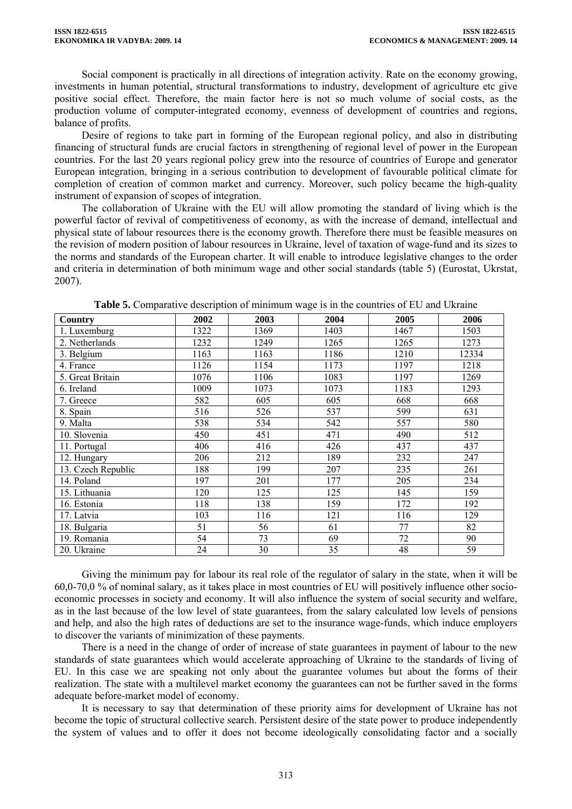Social component is practically in all directions of integration activity. Rate on the economy growing, investments in human potential, structural transformations to industry, development of agriculture etc give positive social effect. Therefore, the main factor here is not so much volume of social costs, as the production volume of computer-integrated economy, evenness of development of countries and regions, balance of profits.

Desire of regions to take part in forming of the European regional policy, and also in distributing financing of structural funds are crucial factors in strengthening of regional level of power in the European countries. For the last 20 years regional policy grew into the resource of countries of Europe and generator European integration, bringing in a serious contribution to development of favourable political climate for completion of creation of common market and currency. Moreover, such policy became the high-quality instrument of expansion of scopes of integration.

The collaboration of Ukraine with the EU will allow promoting the standard of living which is the powerful factor of revival of competitiveness of economy, as with the increase of demand, intellectual and physical state of labour resources there is the economy growth. Therefore there must be feasible measures on the revision of modern position of labour resources in Ukraine, level of taxation of wage-fund and its sizes to the norms and standards of the European charter. It will enable to introduce legislative changes to the order and criteria in determination of both minimum wage and other social standards (table 5) (Eurostat, Ukrstat, 2007).

| Country            | 2002 | 2003 | 2004 | 2005 | 2006  |
|--------------------|------|------|------|------|-------|
| 1. Luxemburg       | 1322 | 1369 | 1403 | 1467 | 1503  |
| 2. Netherlands     | 1232 | 1249 | 1265 | 1265 | 1273  |
| 3. Belgium         | 1163 | 1163 | 1186 | 1210 | 12334 |
| 4. France          | 1126 | 1154 | 1173 | 1197 | 1218  |
| 5. Great Britain   | 1076 | 1106 | 1083 | 1197 | 1269  |
| 6. Ireland         | 1009 | 1073 | 1073 | 1183 | 1293  |
| 7. Greece          | 582  | 605  | 605  | 668  | 668   |
| 8. Spain           | 516  | 526  | 537  | 599  | 631   |
| 9. Malta           | 538  | 534  | 542  | 557  | 580   |
| 10. Slovenia       | 450  | 451  | 471  | 490  | 512   |
| 11. Portugal       | 406  | 416  | 426  | 437  | 437   |
| 12. Hungary        | 206  | 212  | 189  | 232  | 247   |
| 13. Czech Republic | 188  | 199  | 207  | 235  | 261   |
| 14. Poland         | 197  | 201  | 177  | 205  | 234   |
| 15. Lithuania      | 120  | 125  | 125  | 145  | 159   |
| 16. Estonia        | 118  | 138  | 159  | 172  | 192   |
| 17. Latvia         | 103  | 116  | 121  | 116  | 129   |
| 18. Bulgaria       | 51   | 56   | 61   | 77   | 82    |
| 19. Romania        | 54   | 73   | 69   | 72   | 90    |
| 20. Ukraine        | 24   | 30   | 35   | 48   | 59    |

**Table 5.** Comparative description of minimum wage is in the countries of EU and Ukraine

Giving the minimum pay for labour its real role of the regulator of salary in the state, when it will be 60,0-70,0 % of nominal salary, as it takes place in most countries of EU will positively influence other socioeconomic processes in society and economy. It will also influence the system of social security and welfare, as in the last because of the low level of state guarantees, from the salary calculated low levels of pensions and help, and also the high rates of deductions are set to the insurance wage-funds, which induce employers to discover the variants of minimization of these payments.

There is a need in the change of order of increase of state guarantees in payment of labour to the new standards of state guarantees which would accelerate approaching of Ukraine to the standards of living of EU. In this case we are speaking not only about the guarantee volumes but about the forms of their realization. The state with a multilevel market economy the guarantees can not be further saved in the forms adequate before-market model of economy.

It is necessary to say that determination of these priority aims for development of Ukraine has not become the topic of structural collective search. Persistent desire of the state power to produce independently the system of values and to offer it does not become ideologically consolidating factor and a socially